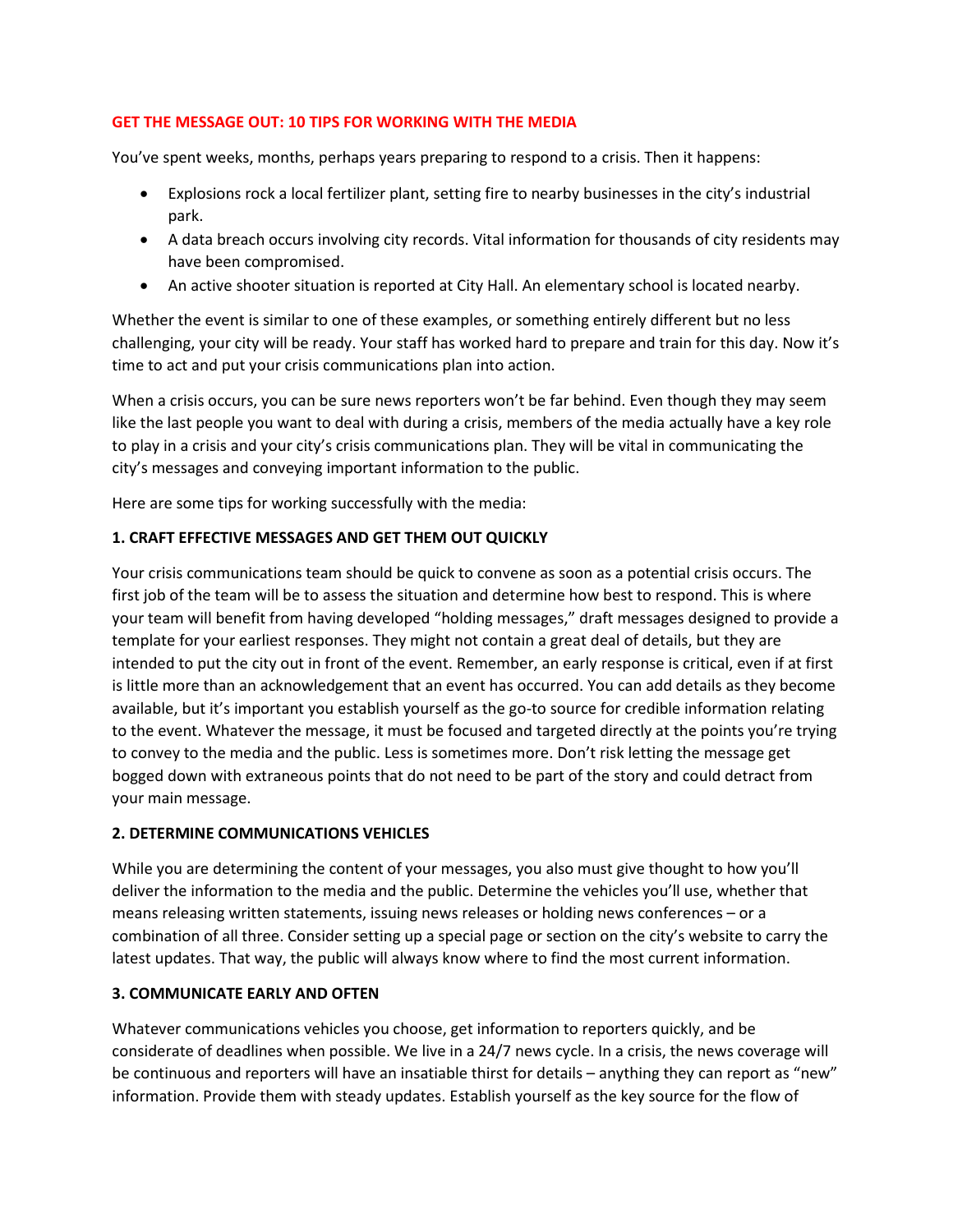## **GET THE MESSAGE OUT: 10 TIPS FOR WORKING WITH THE MEDIA**

You've spent weeks, months, perhaps years preparing to respond to a crisis. Then it happens:

- Explosions rock a local fertilizer plant, setting fire to nearby businesses in the city's industrial park.
- A data breach occurs involving city records. Vital information for thousands of city residents may have been compromised.
- An active shooter situation is reported at City Hall. An elementary school is located nearby.

Whether the event is similar to one of these examples, or something entirely different but no less challenging, your city will be ready. Your staff has worked hard to prepare and train for this day. Now it's time to act and put your crisis communications plan into action.

When a crisis occurs, you can be sure news reporters won't be far behind. Even though they may seem like the last people you want to deal with during a crisis, members of the media actually have a key role to play in a crisis and your city's crisis communications plan. They will be vital in communicating the city's messages and conveying important information to the public.

Here are some tips for working successfully with the media:

## **1. CRAFT EFFECTIVE MESSAGES AND GET THEM OUT QUICKLY**

Your crisis communications team should be quick to convene as soon as a potential crisis occurs. The first job of the team will be to assess the situation and determine how best to respond. This is where your team will benefit from having developed "holding messages," draft messages designed to provide a template for your earliest responses. They might not contain a great deal of details, but they are intended to put the city out in front of the event. Remember, an early response is critical, even if at first is little more than an acknowledgement that an event has occurred. You can add details as they become available, but it's important you establish yourself as the go-to source for credible information relating to the event. Whatever the message, it must be focused and targeted directly at the points you're trying to convey to the media and the public. Less is sometimes more. Don't risk letting the message get bogged down with extraneous points that do not need to be part of the story and could detract from your main message.

#### **2. DETERMINE COMMUNICATIONS VEHICLES**

While you are determining the content of your messages, you also must give thought to how you'll deliver the information to the media and the public. Determine the vehicles you'll use, whether that means releasing written statements, issuing news releases or holding news conferences – or a combination of all three. Consider setting up a special page or section on the city's website to carry the latest updates. That way, the public will always know where to find the most current information.

#### **3. COMMUNICATE EARLY AND OFTEN**

Whatever communications vehicles you choose, get information to reporters quickly, and be considerate of deadlines when possible. We live in a 24/7 news cycle. In a crisis, the news coverage will be continuous and reporters will have an insatiable thirst for details – anything they can report as "new" information. Provide them with steady updates. Establish yourself as the key source for the flow of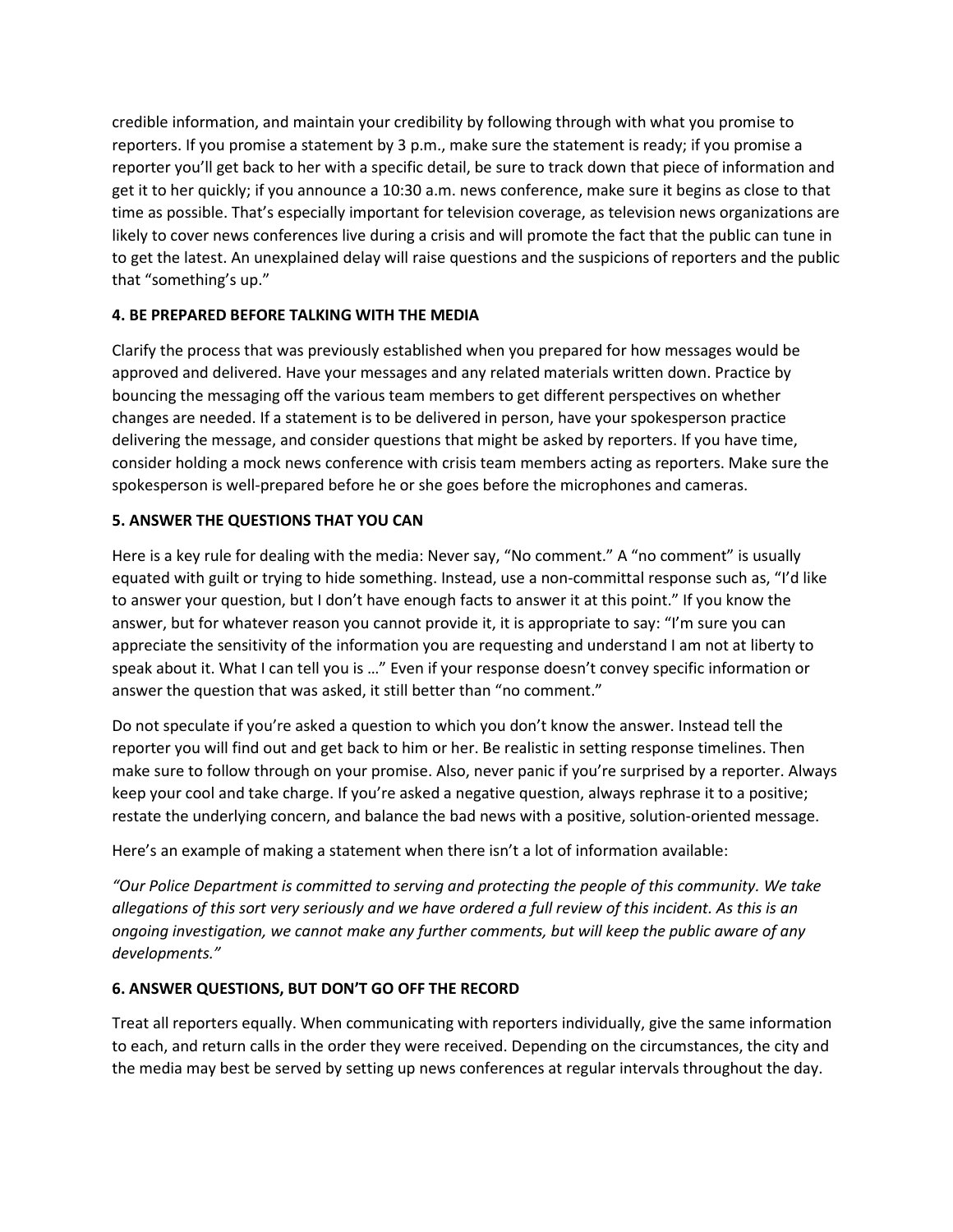credible information, and maintain your credibility by following through with what you promise to reporters. If you promise a statement by 3 p.m., make sure the statement is ready; if you promise a reporter you'll get back to her with a specific detail, be sure to track down that piece of information and get it to her quickly; if you announce a 10:30 a.m. news conference, make sure it begins as close to that time as possible. That's especially important for television coverage, as television news organizations are likely to cover news conferences live during a crisis and will promote the fact that the public can tune in to get the latest. An unexplained delay will raise questions and the suspicions of reporters and the public that "something's up."

## **4. BE PREPARED BEFORE TALKING WITH THE MEDIA**

Clarify the process that was previously established when you prepared for how messages would be approved and delivered. Have your messages and any related materials written down. Practice by bouncing the messaging off the various team members to get different perspectives on whether changes are needed. If a statement is to be delivered in person, have your spokesperson practice delivering the message, and consider questions that might be asked by reporters. If you have time, consider holding a mock news conference with crisis team members acting as reporters. Make sure the spokesperson is well-prepared before he or she goes before the microphones and cameras.

## **5. ANSWER THE QUESTIONS THAT YOU CAN**

Here is a key rule for dealing with the media: Never say, "No comment." A "no comment" is usually equated with guilt or trying to hide something. Instead, use a non-committal response such as, "I'd like to answer your question, but I don't have enough facts to answer it at this point." If you know the answer, but for whatever reason you cannot provide it, it is appropriate to say: "I'm sure you can appreciate the sensitivity of the information you are requesting and understand I am not at liberty to speak about it. What I can tell you is …" Even if your response doesn't convey specific information or answer the question that was asked, it still better than "no comment."

Do not speculate if you're asked a question to which you don't know the answer. Instead tell the reporter you will find out and get back to him or her. Be realistic in setting response timelines. Then make sure to follow through on your promise. Also, never panic if you're surprised by a reporter. Always keep your cool and take charge. If you're asked a negative question, always rephrase it to a positive; restate the underlying concern, and balance the bad news with a positive, solution-oriented message.

Here's an example of making a statement when there isn't a lot of information available:

*"Our Police Department is committed to serving and protecting the people of this community. We take allegations of this sort very seriously and we have ordered a full review of this incident. As this is an ongoing investigation, we cannot make any further comments, but will keep the public aware of any developments."* 

#### **6. ANSWER QUESTIONS, BUT DON'T GO OFF THE RECORD**

Treat all reporters equally. When communicating with reporters individually, give the same information to each, and return calls in the order they were received. Depending on the circumstances, the city and the media may best be served by setting up news conferences at regular intervals throughout the day.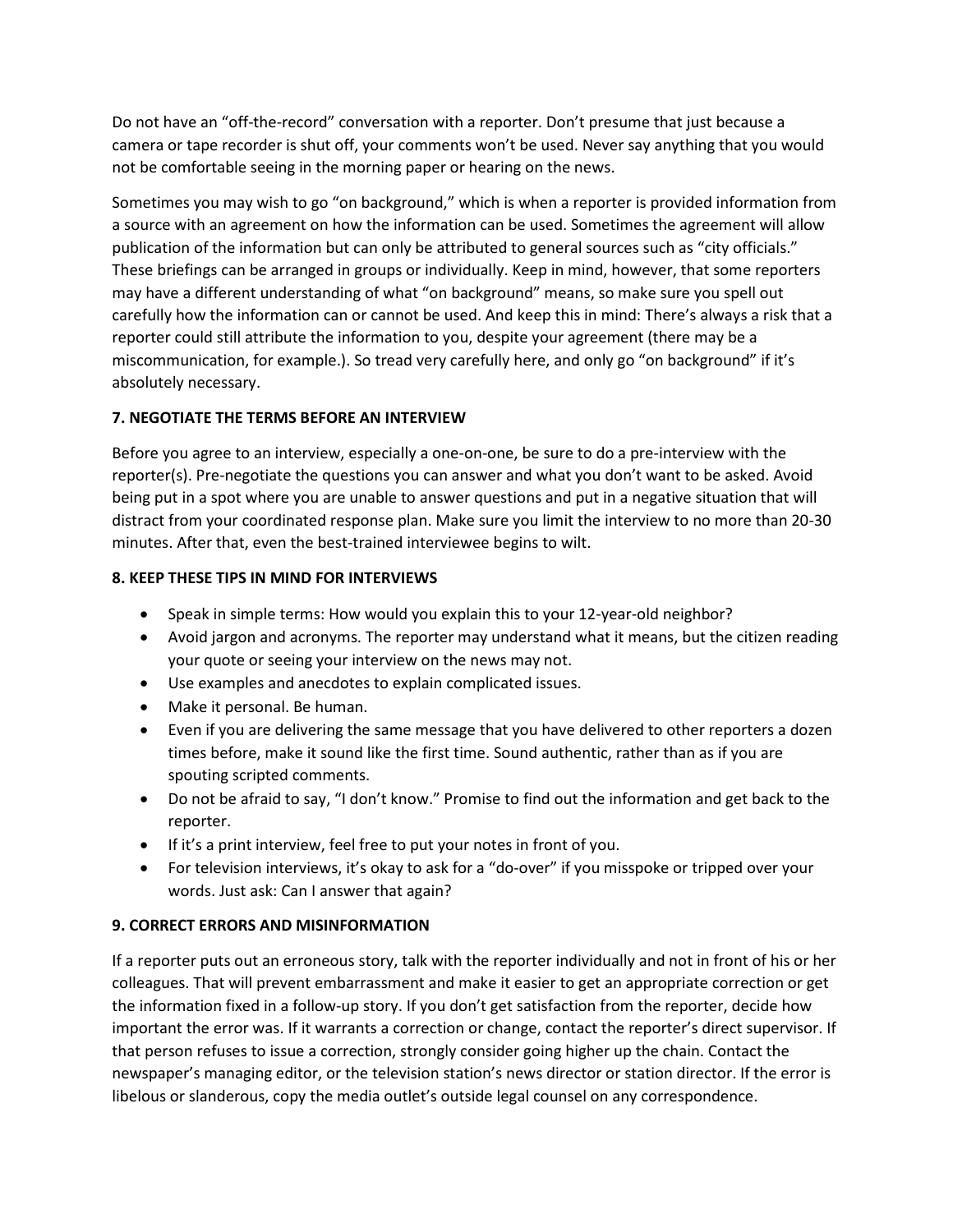Do not have an "off-the-record" conversation with a reporter. Don't presume that just because a camera or tape recorder is shut off, your comments won't be used. Never say anything that you would not be comfortable seeing in the morning paper or hearing on the news.

Sometimes you may wish to go "on background," which is when a reporter is provided information from a source with an agreement on how the information can be used. Sometimes the agreement will allow publication of the information but can only be attributed to general sources such as "city officials." These briefings can be arranged in groups or individually. Keep in mind, however, that some reporters may have a different understanding of what "on background" means, so make sure you spell out carefully how the information can or cannot be used. And keep this in mind: There's always a risk that a reporter could still attribute the information to you, despite your agreement (there may be a miscommunication, for example.). So tread very carefully here, and only go "on background" if it's absolutely necessary.

## **7. NEGOTIATE THE TERMS BEFORE AN INTERVIEW**

Before you agree to an interview, especially a one-on-one, be sure to do a pre-interview with the reporter(s). Pre-negotiate the questions you can answer and what you don't want to be asked. Avoid being put in a spot where you are unable to answer questions and put in a negative situation that will distract from your coordinated response plan. Make sure you limit the interview to no more than 20-30 minutes. After that, even the best-trained interviewee begins to wilt.

## **8. KEEP THESE TIPS IN MIND FOR INTERVIEWS**

- Speak in simple terms: How would you explain this to your 12-year-old neighbor?
- Avoid jargon and acronyms. The reporter may understand what it means, but the citizen reading your quote or seeing your interview on the news may not.
- Use examples and anecdotes to explain complicated issues.
- Make it personal. Be human.
- Even if you are delivering the same message that you have delivered to other reporters a dozen times before, make it sound like the first time. Sound authentic, rather than as if you are spouting scripted comments.
- Do not be afraid to say, "I don't know." Promise to find out the information and get back to the reporter.
- If it's a print interview, feel free to put your notes in front of you.
- For television interviews, it's okay to ask for a "do-over" if you misspoke or tripped over your words. Just ask: Can I answer that again?

#### **9. CORRECT ERRORS AND MISINFORMATION**

If a reporter puts out an erroneous story, talk with the reporter individually and not in front of his or her colleagues. That will prevent embarrassment and make it easier to get an appropriate correction or get the information fixed in a follow-up story. If you don't get satisfaction from the reporter, decide how important the error was. If it warrants a correction or change, contact the reporter's direct supervisor. If that person refuses to issue a correction, strongly consider going higher up the chain. Contact the newspaper's managing editor, or the television station's news director or station director. If the error is libelous or slanderous, copy the media outlet's outside legal counsel on any correspondence.